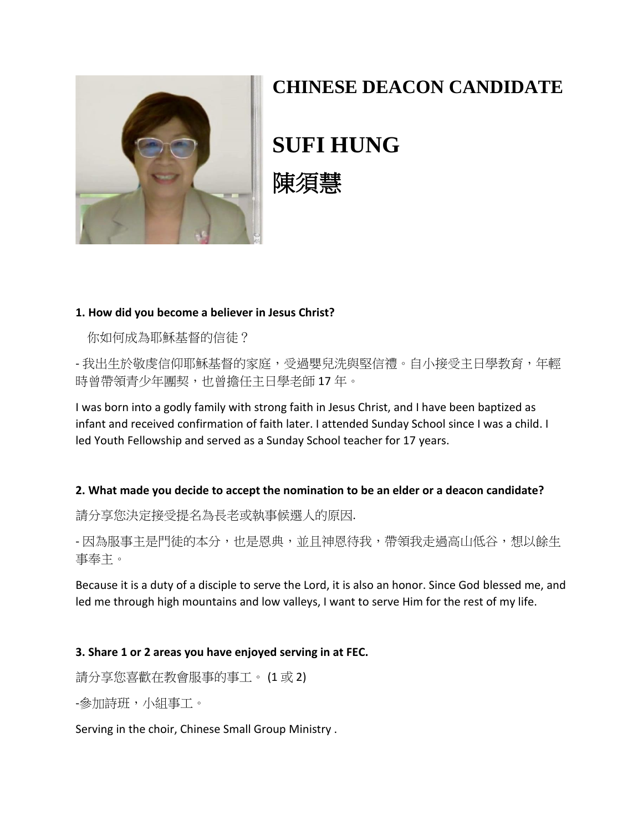

# **CHINESE DEACON CANDIDATE**

**SUFI HUNG**



## **1. How did you become a believer in Jesus Christ?**

你如何成為耶穌基督的信徒?

- 我出生於敬虔信仰耶穌基督的家庭,受過嬰兒洗與堅信禮。自小接受主日學教育,年輕 時曾帶領青少年團契,也曾擔任主日學老師17年。

I was born into a godly family with strong faith in Jesus Christ, and I have been baptized as infant and received confirmation of faith later. I attended Sunday School since I was a child. I led Youth Fellowship and served as a Sunday School teacher for 17 years.

## **2. What made you decide to accept the nomination to be an elder or a deacon candidate?**

請分享您決定接受提名為長老或執事候選人的原因.

- 因為服事主是門徒的本分,也是恩典,並且神恩待我,帶領我走過高山低谷,想以餘生 事奉主。

Because it is a duty of a disciple to serve the Lord, it is also an honor. Since God blessed me, and led me through high mountains and low valleys, I want to serve Him for the rest of my life.

## **3. Share 1 or 2 areas you have enjoyed serving in at FEC.**

請分享您喜歡在教會服事的事工。 (1 或 2)

-參加詩班,小組事工。

Serving in the choir, Chinese Small Group Ministry .